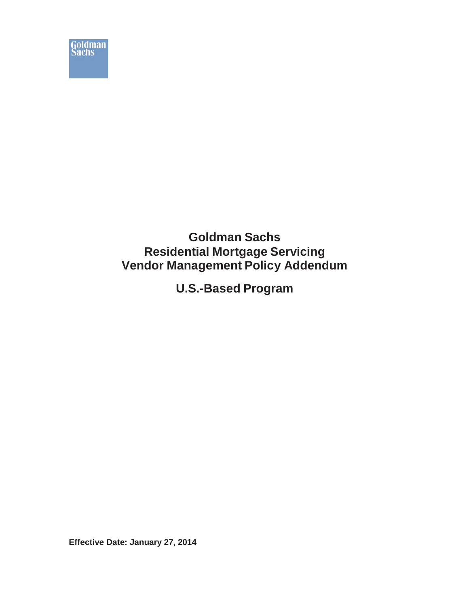

# **Goldman Sachs Residential Mortgage Servicing Vendor Management Policy Addendum**

**U.S.-Based Program**

**Effective Date: January 27, 2014**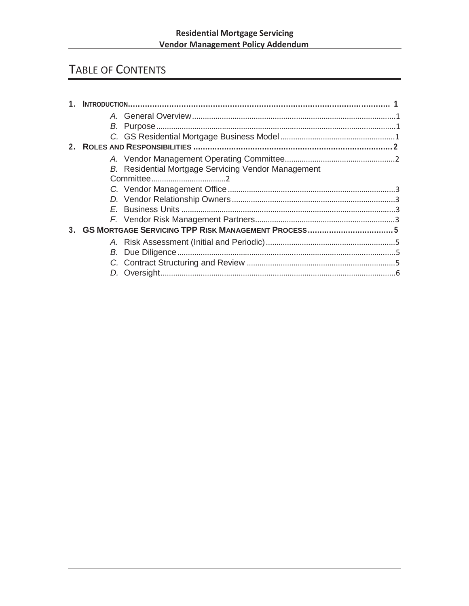# TABLE OF CONTENTS

| B. Residential Mortgage Servicing Vendor Management |  |  |  |  |  |
|-----------------------------------------------------|--|--|--|--|--|
|                                                     |  |  |  |  |  |
|                                                     |  |  |  |  |  |
|                                                     |  |  |  |  |  |
|                                                     |  |  |  |  |  |
|                                                     |  |  |  |  |  |
|                                                     |  |  |  |  |  |
|                                                     |  |  |  |  |  |
|                                                     |  |  |  |  |  |
|                                                     |  |  |  |  |  |
|                                                     |  |  |  |  |  |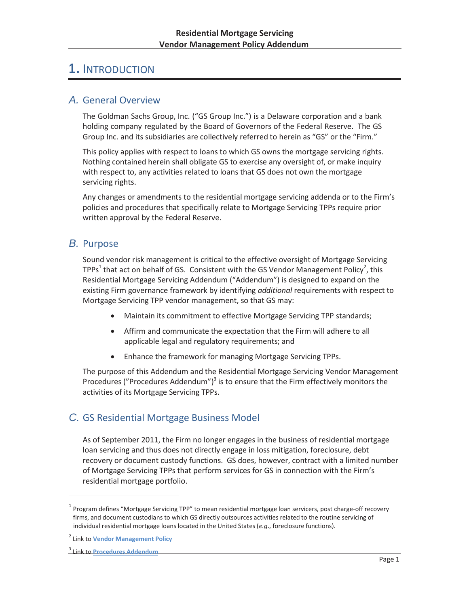# 1. INTRODUCTION

## *A.* General Overview

The Goldman Sachs Group, Inc. ("GS Group Inc.") is a Delaware corporation and a bank holding company regulated by the Board of Governors of the Federal Reserve. The GS Group Inc. and its subsidiaries are collectively referred to herein as "GS" or the "Firm."

This policy applies with respect to loans to which GS owns the mortgage servicing rights. Nothing contained herein shall obligate GS to exercise any oversight of, or make inquiry with respect to, any activities related to loans that GS does not own the mortgage servicing rights.

Any changes or amendments to the residential mortgage servicing addenda or to the Firm's policies and procedures that specifically relate to Mortgage Servicing TPPs require prior written approval by the Federal Reserve.

# *B.* Purpose

Sound vendor risk management is critical to the effective oversight of Mortgage Servicing TPPs<sup>1</sup> that act on behalf of GS. Consistent with the GS Vendor Management Policy<sup>2</sup>, this Residential Mortgage Servicing Addendum ("Addendum") is designed to expand on the existing Firm governance framework by identifying *additional* requirements with respect to Mortgage Servicing TPP vendor management, so that GS may:

- Maintain its commitment to effective Mortgage Servicing TPP standards;
- Affirm and communicate the expectation that the Firm will adhere to all applicable legal and regulatory requirements; and
- Enhance the framework for managing Mortgage Servicing TPPs.

The purpose of this Addendum and the Residential Mortgage Servicing Vendor Management Procedures ("Procedures Addendum") $3$  is to ensure that the Firm effectively monitors the activities of its Mortgage Servicing TPPs.

# *C.* GS Residential Mortgage Business Model

As of September 2011, the Firm no longer engages in the business of residential mortgage loan servicing and thus does not directly engage in loss mitigation, foreclosure, debt recovery or document custody functions. GS does, however, contract with a limited number of Mortgage Servicing TPPs that perform services for GS in connection with the Firm's residential mortgage portfolio.

 $1$  Program defines "Mortgage Servicing TPP" to mean residential mortgage loan servicers, post charge-off recovery firms, and document custodians to which GS directly outsources activities related to the routine servicing of individual residential mortgage loans located in the United States (*e.g*., foreclosure functions).

<sup>2</sup> Link to **Vendor Management Policy**

<sup>3</sup> Link to **Procedures Addendum**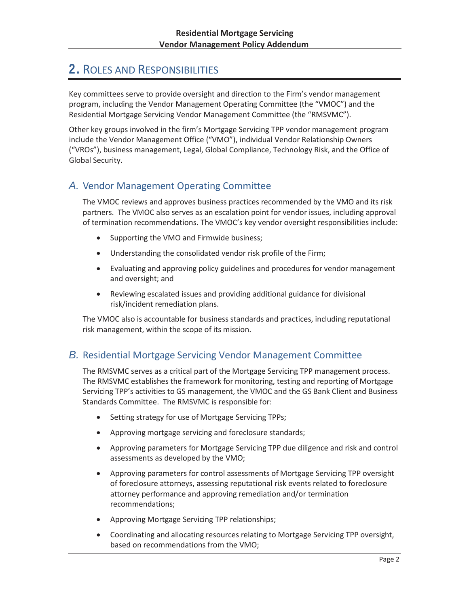# 2. ROLES AND RESPONSIBILITIES

Key committees serve to provide oversight and direction to the Firm's vendor management program, including the Vendor Management Operating Committee (the "VMOC") and the Residential Mortgage Servicing Vendor Management Committee (the "RMSVMC").

Other key groups involved in the firm's Mortgage Servicing TPP vendor management program include the Vendor Management Office ("VMO"), individual Vendor Relationship Owners ("VROs"), business management, Legal, Global Compliance, Technology Risk, and the Office of Global Security.

# *A.* Vendor Management Operating Committee

The VMOC reviews and approves business practices recommended by the VMO and its risk partners. The VMOC also serves as an escalation point for vendor issues, including approval of termination recommendations. The VMOC's key vendor oversight responsibilities include:

- Supporting the VMO and Firmwide business;
- Understanding the consolidated vendor risk profile of the Firm;
- Evaluating and approving policy guidelines and procedures for vendor management and oversight; and
- Reviewing escalated issues and providing additional guidance for divisional risk/incident remediation plans.

The VMOC also is accountable for business standards and practices, including reputational risk management, within the scope of its mission.

## *B.* Residential Mortgage Servicing Vendor Management Committee

The RMSVMC serves as a critical part of the Mortgage Servicing TPP management process. The RMSVMC establishes the framework for monitoring, testing and reporting of Mortgage Servicing TPP's activities to GS management, the VMOC and the GS Bank Client and Business Standards Committee. The RMSVMC is responsible for:

- Setting strategy for use of Mortgage Servicing TPPs;
- Approving mortgage servicing and foreclosure standards;
- Approving parameters for Mortgage Servicing TPP due diligence and risk and control assessments as developed by the VMO;
- Approving parameters for control assessments of Mortgage Servicing TPP oversight of foreclosure attorneys, assessing reputational risk events related to foreclosure attorney performance and approving remediation and/or termination recommendations;
- Approving Mortgage Servicing TPP relationships;
- x Coordinating and allocating resources relating to Mortgage Servicing TPP oversight, based on recommendations from the VMO;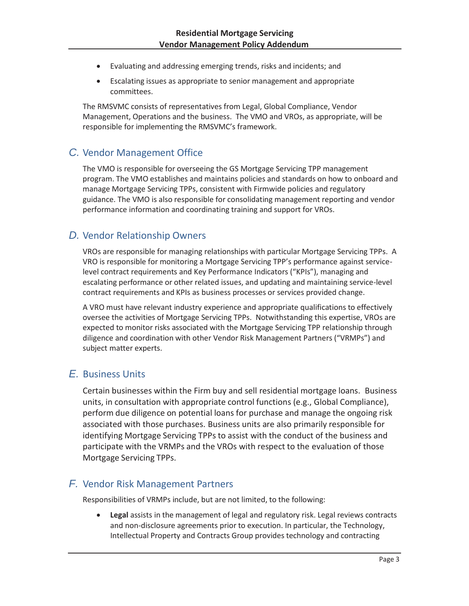- Evaluating and addressing emerging trends, risks and incidents; and
- Escalating issues as appropriate to senior management and appropriate committees.

The RMSVMC consists of representatives from Legal, Global Compliance, Vendor Management, Operations and the business. The VMO and VROs, as appropriate, will be responsible for implementing the RMSVMC's framework.

# *C.* Vendor Management Office

The VMO is responsible for overseeing the GS Mortgage Servicing TPP management program. The VMO establishes and maintains policies and standards on how to onboard and manage Mortgage Servicing TPPs, consistent with Firmwide policies and regulatory guidance. The VMO is also responsible for consolidating management reporting and vendor performance information and coordinating training and support for VROs.

# *D.* Vendor Relationship Owners

VROs are responsible for managing relationships with particular Mortgage Servicing TPPs. A VRO is responsible for monitoring a Mortgage Servicing TPP's performance against servicelevel contract requirements and Key Performance Indicators ("KPIs"), managing and escalating performance or other related issues, and updating and maintaining service-level contract requirements and KPIs as business processes or services provided change.

A VRO must have relevant industry experience and appropriate qualifications to effectively oversee the activities of Mortgage Servicing TPPs. Notwithstanding this expertise, VROs are expected to monitor risks associated with the Mortgage Servicing TPP relationship through diligence and coordination with other Vendor Risk Management Partners ("VRMPs") and subject matter experts.

# *E.* Business Units

Certain businesses within the Firm buy and sell residential mortgage loans. Business units, in consultation with appropriate control functions (e.g., Global Compliance), perform due diligence on potential loans for purchase and manage the ongoing risk associated with those purchases. Business units are also primarily responsible for identifying Mortgage Servicing TPPs to assist with the conduct of the business and participate with the VRMPs and the VROs with respect to the evaluation of those Mortgage Servicing TPPs.

## *F.* Vendor Risk Management Partners

Responsibilities of VRMPs include, but are not limited, to the following:

Legal assists in the management of legal and regulatory risk. Legal reviews contracts and non-disclosure agreements prior to execution. In particular, the Technology, Intellectual Property and Contracts Group provides technology and contracting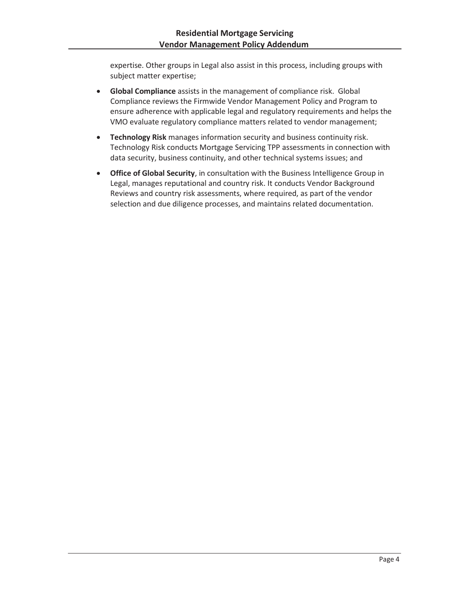expertise. Other groups in Legal also assist in this process, including groups with subject matter expertise;

- **Global Compliance** assists in the management of compliance risk. Global Compliance reviews the Firmwide Vendor Management Policy and Program to ensure adherence with applicable legal and regulatory requirements and helps the VMO evaluate regulatory compliance matters related to vendor management;
- **Technology Risk** manages information security and business continuity risk. Technology Risk conducts Mortgage Servicing TPP assessments in connection with data security, business continuity, and other technical systems issues; and
- **Office of Global Security**, in consultation with the Business Intelligence Group in Legal, manages reputational and country risk. It conducts Vendor Background Reviews and country risk assessments, where required, as part of the vendor selection and due diligence processes, and maintains related documentation.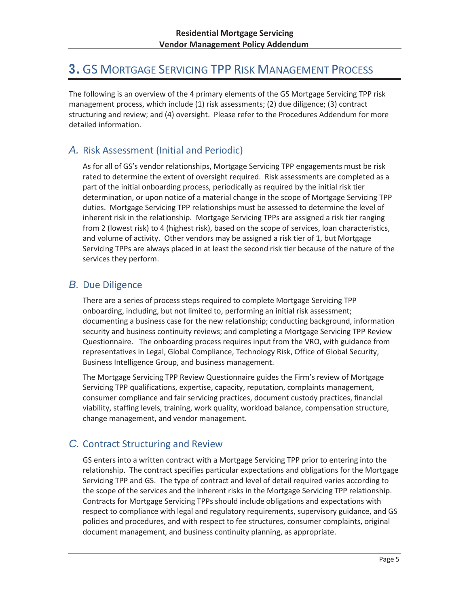# 3. GS MORTGAGE SERVICING TPP RISK MANAGEMENT PROCESS

The following is an overview of the 4 primary elements of the GS Mortgage Servicing TPP risk management process, which include (1) risk assessments; (2) due diligence; (3) contract structuring and review; and (4) oversight. Please refer to the Procedures Addendum for more detailed information.

# *A.* Risk Assessment (Initial and Periodic)

As for all of GS's vendor relationships, Mortgage Servicing TPP engagements must be risk rated to determine the extent of oversight required. Risk assessments are completed as a part of the initial onboarding process, periodically as required by the initial risk tier determination, or upon notice of a material change in the scope of Mortgage Servicing TPP duties. Mortgage Servicing TPP relationships must be assessed to determine the level of inherent risk in the relationship. Mortgage Servicing TPPs are assigned a risk tier ranging from 2 (lowest risk) to 4 (highest risk), based on the scope of services, loan characteristics, and volume of activity. Other vendors may be assigned a risk tier of 1, but Mortgage Servicing TPPs are always placed in at least the second risk tier because of the nature of the services they perform.

# *B.* Due Diligence

There are a series of process steps required to complete Mortgage Servicing TPP onboarding, including, but not limited to, performing an initial risk assessment; documenting a business case for the new relationship; conducting background, information security and business continuity reviews; and completing a Mortgage Servicing TPP Review Questionnaire. The onboarding process requires input from the VRO, with guidance from representatives in Legal, Global Compliance, Technology Risk, Office of Global Security, Business Intelligence Group, and business management.

The Mortgage Servicing TPP Review Questionnaire guides the Firm's review of Mortgage Servicing TPP qualifications, expertise, capacity, reputation, complaints management, consumer compliance and fair servicing practices, document custody practices, financial viability, staffing levels, training, work quality, workload balance, compensation structure, change management, and vendor management.

# *C.* Contract Structuring and Review

GS enters into a written contract with a Mortgage Servicing TPP prior to entering into the relationship. The contract specifies particular expectations and obligations for the Mortgage Servicing TPP and GS. The type of contract and level of detail required varies according to the scope of the services and the inherent risks in the Mortgage Servicing TPP relationship. Contracts for Mortgage Servicing TPPs should include obligations and expectations with respect to compliance with legal and regulatory requirements, supervisory guidance, and GS policies and procedures, and with respect to fee structures, consumer complaints, original document management, and business continuity planning, as appropriate.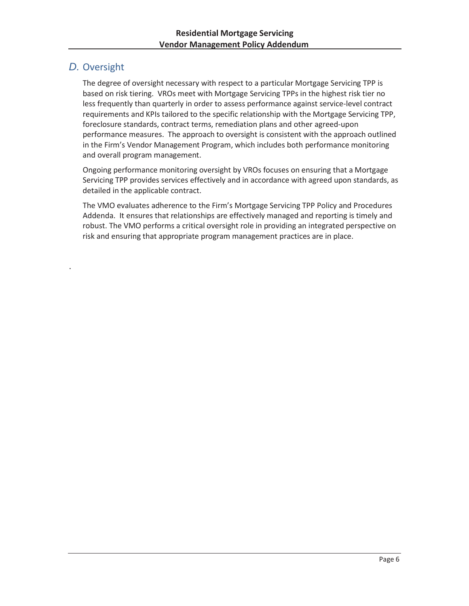# *D.* Oversight

.

The degree of oversight necessary with respect to a particular Mortgage Servicing TPP is based on risk tiering. VROs meet with Mortgage Servicing TPPs in the highest risk tier no less frequently than quarterly in order to assess performance against service-level contract requirements and KPIs tailored to the specific relationship with the Mortgage Servicing TPP, foreclosure standards, contract terms, remediation plans and other agreed-upon performance measures. The approach to oversight is consistent with the approach outlined in the Firm's Vendor Management Program, which includes both performance monitoring and overall program management.

Ongoing performance monitoring oversight by VROs focuses on ensuring that a Mortgage Servicing TPP provides services effectively and in accordance with agreed upon standards, as detailed in the applicable contract.

The VMO evaluates adherence to the Firm's Mortgage Servicing TPP Policy and Procedures Addenda. It ensures that relationships are effectively managed and reporting is timely and robust. The VMO performs a critical oversight role in providing an integrated perspective on risk and ensuring that appropriate program management practices are in place.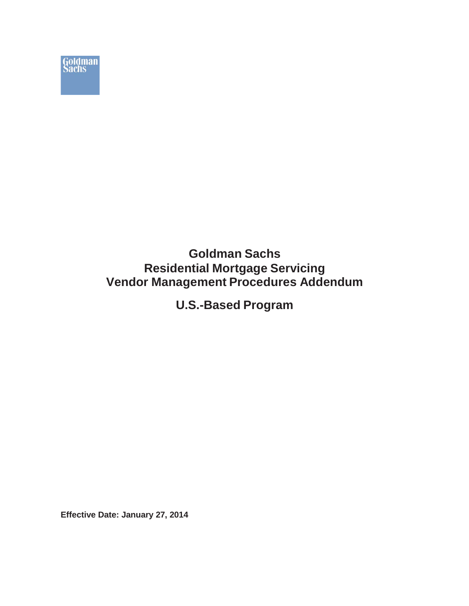

**U.S.-Based Program**

**Effective Date: January 27, 2014**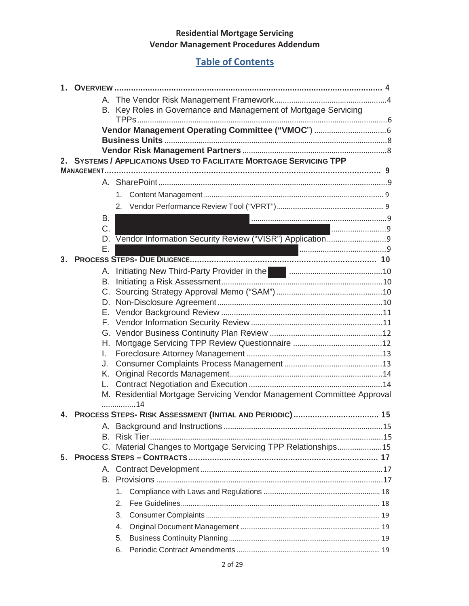# **Table of Contents**

| 1  |                                                                 |          |    |                                                                                          |  |  |  |  |
|----|-----------------------------------------------------------------|----------|----|------------------------------------------------------------------------------------------|--|--|--|--|
|    |                                                                 |          |    |                                                                                          |  |  |  |  |
|    | B. Key Roles in Governance and Management of Mortgage Servicing |          |    |                                                                                          |  |  |  |  |
|    | Vendor Management Operating Committee ("VMOC")  6               |          |    |                                                                                          |  |  |  |  |
|    |                                                                 |          |    |                                                                                          |  |  |  |  |
|    |                                                                 |          |    |                                                                                          |  |  |  |  |
|    |                                                                 |          |    | <b>SYSTEMS / APPLICATIONS USED TO FACILITATE MORTGAGE SERVICING TPP</b>                  |  |  |  |  |
|    |                                                                 |          |    |                                                                                          |  |  |  |  |
|    |                                                                 |          |    |                                                                                          |  |  |  |  |
|    |                                                                 |          |    |                                                                                          |  |  |  |  |
|    |                                                                 |          |    |                                                                                          |  |  |  |  |
|    |                                                                 | В.<br>C. |    |                                                                                          |  |  |  |  |
|    |                                                                 | D.       |    | 19                                                                                       |  |  |  |  |
|    |                                                                 | Ε.       |    |                                                                                          |  |  |  |  |
| 3. |                                                                 |          |    |                                                                                          |  |  |  |  |
|    |                                                                 |          |    | A. Initiating New Third-Party Provider in the <b>Communistion of the Communisties</b> 10 |  |  |  |  |
|    |                                                                 | B.       |    |                                                                                          |  |  |  |  |
|    |                                                                 |          |    |                                                                                          |  |  |  |  |
|    |                                                                 |          |    |                                                                                          |  |  |  |  |
|    |                                                                 |          |    |                                                                                          |  |  |  |  |
|    |                                                                 |          |    |                                                                                          |  |  |  |  |
|    |                                                                 |          |    |                                                                                          |  |  |  |  |
|    |                                                                 | L.       |    |                                                                                          |  |  |  |  |
|    |                                                                 | J.       |    |                                                                                          |  |  |  |  |
|    |                                                                 |          |    |                                                                                          |  |  |  |  |
|    |                                                                 |          |    |                                                                                          |  |  |  |  |
|    |                                                                 |          |    | M. Residential Mortgage Servicing Vendor Management Committee Approval                   |  |  |  |  |
|    |                                                                 |          |    | 14                                                                                       |  |  |  |  |
|    |                                                                 |          |    |                                                                                          |  |  |  |  |
|    |                                                                 |          |    |                                                                                          |  |  |  |  |
|    |                                                                 |          |    |                                                                                          |  |  |  |  |
|    |                                                                 |          |    | C. Material Changes to Mortgage Servicing TPP Relationships15                            |  |  |  |  |
| 5. |                                                                 |          |    |                                                                                          |  |  |  |  |
|    |                                                                 |          |    |                                                                                          |  |  |  |  |
|    |                                                                 |          |    |                                                                                          |  |  |  |  |
|    |                                                                 |          | 1. |                                                                                          |  |  |  |  |
|    |                                                                 |          | 2. |                                                                                          |  |  |  |  |
|    |                                                                 |          | 3. |                                                                                          |  |  |  |  |
|    |                                                                 |          | 4. |                                                                                          |  |  |  |  |
|    |                                                                 |          | 5. |                                                                                          |  |  |  |  |
|    |                                                                 |          | 6. |                                                                                          |  |  |  |  |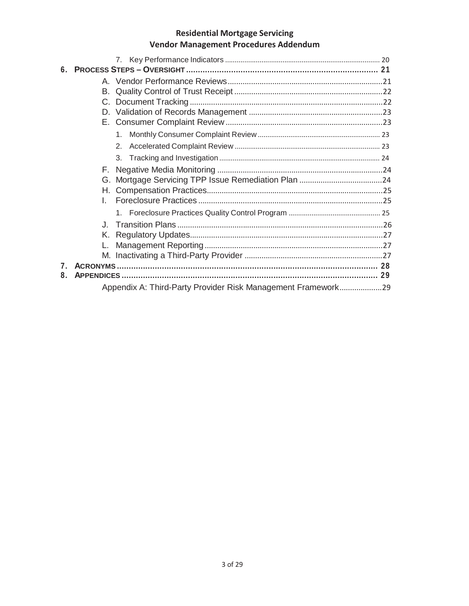| 6           |                           |                                                              |  |  |  |
|-------------|---------------------------|--------------------------------------------------------------|--|--|--|
|             |                           |                                                              |  |  |  |
|             | B.                        |                                                              |  |  |  |
|             | $C_{\cdot}$               |                                                              |  |  |  |
|             |                           |                                                              |  |  |  |
|             |                           |                                                              |  |  |  |
|             |                           |                                                              |  |  |  |
|             |                           | 2 <sub>1</sub>                                               |  |  |  |
|             |                           | 3.                                                           |  |  |  |
|             | F.                        |                                                              |  |  |  |
|             |                           |                                                              |  |  |  |
|             |                           |                                                              |  |  |  |
|             | L                         |                                                              |  |  |  |
|             |                           |                                                              |  |  |  |
|             | $\mathbf{J}_{\mathbf{r}}$ |                                                              |  |  |  |
|             | Κ.                        |                                                              |  |  |  |
|             |                           |                                                              |  |  |  |
|             |                           |                                                              |  |  |  |
| $7^{\circ}$ |                           |                                                              |  |  |  |
| 8.          |                           |                                                              |  |  |  |
|             |                           | Appendix A: Third-Party Provider Risk Management Framework29 |  |  |  |
|             |                           |                                                              |  |  |  |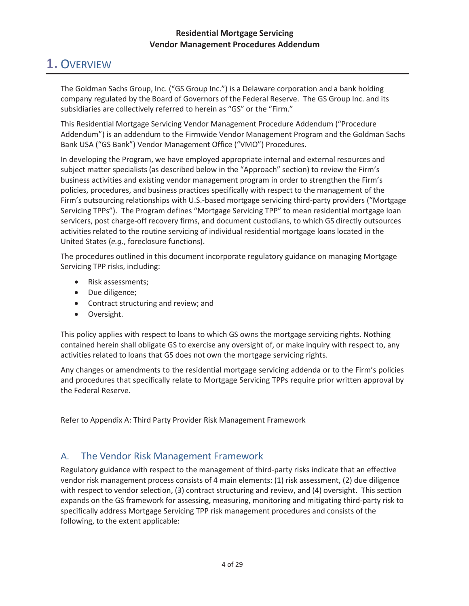# 1. OVERVIEW

The Goldman Sachs Group, Inc. ("GS Group Inc.") is a Delaware corporation and a bank holding company regulated by the Board of Governors of the Federal Reserve. The GS Group Inc. and its subsidiaries are collectively referred to herein as "GS" or the "Firm."

This Residential Mortgage Servicing Vendor Management Procedure Addendum ("Procedure Addendum") is an addendum to the Firmwide Vendor Management Program and the Goldman Sachs Bank USA ("GS Bank") Vendor Management Office ("VMO") Procedures.

In developing the Program, we have employed appropriate internal and external resources and subject matter specialists (as described below in the "Approach" section) to review the Firm's business activities and existing vendor management program in order to strengthen the Firm's policies, procedures, and business practices specifically with respect to the management of the Firm's outsourcing relationships with U.S.-based mortgage servicing third-party providers ("Mortgage Servicing TPPs"). The Program defines "Mortgage Servicing TPP" to mean residential mortgage loan servicers, post charge-off recovery firms, and document custodians, to which GS directly outsources activities related to the routine servicing of individual residential mortgage loans located in the United States (*e.g*., foreclosure functions).

The procedures outlined in this document incorporate regulatory guidance on managing Mortgage Servicing TPP risks, including:

- Risk assessments;
- Due diligence;
- Contract structuring and review; and
- Oversight.

This policy applies with respect to loans to which GS owns the mortgage servicing rights. Nothing contained herein shall obligate GS to exercise any oversight of, or make inquiry with respect to, any activities related to loans that GS does not own the mortgage servicing rights.

Any changes or amendments to the residential mortgage servicing addenda or to the Firm's policies and procedures that specifically relate to Mortgage Servicing TPPs require prior written approval by the Federal Reserve.

Refer to Appendix A: Third Party Provider Risk Management Framework

## A. The Vendor Risk Management Framework

Regulatory guidance with respect to the management of third-party risks indicate that an effective vendor risk management process consists of 4 main elements: (1) risk assessment, (2) due diligence with respect to vendor selection, (3) contract structuring and review, and (4) oversight. This section expands on the GS framework for assessing, measuring, monitoring and mitigating third-party risk to specifically address Mortgage Servicing TPP risk management procedures and consists of the following, to the extent applicable: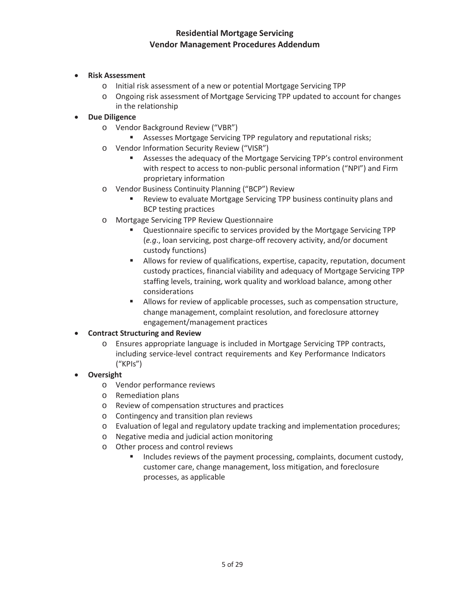- x **Risk Assessment**
	- o Initial risk assessment of a new or potential Mortgage Servicing TPP
	- o Ongoing risk assessment of Mortgage Servicing TPP updated to account for changes in the relationship

#### **Due Diligence**

- o Vendor Background Review ("VBR")
	- **Assesses Mortgage Servicing TPP regulatory and reputational risks;**
- o Vendor Information Security Review ("VISR")
	- **Assesses the adequacy of the Mortgage Servicing TPP's control environment** with respect to access to non-public personal information ("NPI") and Firm proprietary information
- o Vendor Business Continuity Planning ("BCP") Review
	- Review to evaluate Mortgage Servicing TPP business continuity plans and BCP testing practices
- o Mortgage Servicing TPP Review Questionnaire
	- Questionnaire specific to services provided by the Mortgage Servicing TPP (*e.g*., loan servicing, post charge-off recovery activity, and/or document custody functions)
	- **Allows for review of qualifications, expertise, capacity, reputation, document** custody practices, financial viability and adequacy of Mortgage Servicing TPP staffing levels, training, work quality and workload balance, among other considerations
	- Allows for review of applicable processes, such as compensation structure, change management, complaint resolution, and foreclosure attorney engagement/management practices

#### **Contract Structuring and Review**

o Ensures appropriate language is included in Mortgage Servicing TPP contracts, including service-level contract requirements and Key Performance Indicators ("KPIs")

#### **Oversight**

- o Vendor performance reviews
- o Remediation plans
- o Review of compensation structures and practices
- o Contingency and transition plan reviews
- o Evaluation of legal and regulatory update tracking and implementation procedures;
- o Negative media and judicial action monitoring
- o Other process and control reviews
	- Includes reviews of the payment processing, complaints, document custody, customer care, change management, loss mitigation, and foreclosure processes, as applicable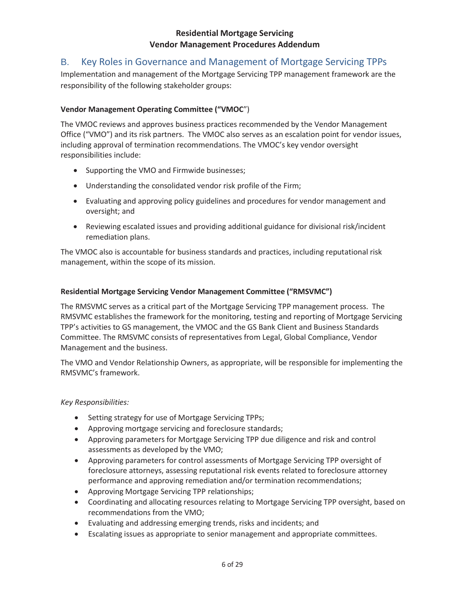## B. Key Roles in Governance and Management of Mortgage Servicing TPPs

Implementation and management of the Mortgage Servicing TPP management framework are the responsibility of the following stakeholder groups:

#### **Vendor Management Operating Committee ("VMOC**")

The VMOC reviews and approves business practices recommended by the Vendor Management Office ("VMO") and its risk partners. The VMOC also serves as an escalation point for vendor issues, including approval of termination recommendations. The VMOC's key vendor oversight responsibilities include:

- Supporting the VMO and Firmwide businesses;
- Understanding the consolidated vendor risk profile of the Firm;
- Evaluating and approving policy guidelines and procedures for vendor management and oversight; and
- Reviewing escalated issues and providing additional guidance for divisional risk/incident remediation plans.

The VMOC also is accountable for business standards and practices, including reputational risk management, within the scope of its mission.

#### **Residential Mortgage Servicing Vendor Management Committee ("RMSVMC")**

The RMSVMC serves as a critical part of the Mortgage Servicing TPP management process. The RMSVMC establishes the framework for the monitoring, testing and reporting of Mortgage Servicing TPP's activities to GS management, the VMOC and the GS Bank Client and Business Standards Committee. The RMSVMC consists of representatives from Legal, Global Compliance, Vendor Management and the business.

The VMO and Vendor Relationship Owners, as appropriate, will be responsible for implementing the RMSVMC's framework.

#### *Key Responsibilities:*

- Setting strategy for use of Mortgage Servicing TPPs;
- Approving mortgage servicing and foreclosure standards;
- Approving parameters for Mortgage Servicing TPP due diligence and risk and control assessments as developed by the VMO;
- x Approving parameters for control assessments of Mortgage Servicing TPP oversight of foreclosure attorneys, assessing reputational risk events related to foreclosure attorney performance and approving remediation and/or termination recommendations;
- Approving Mortgage Servicing TPP relationships;
- Coordinating and allocating resources relating to Mortgage Servicing TPP oversight, based on recommendations from the VMO;
- Evaluating and addressing emerging trends, risks and incidents; and
- Escalating issues as appropriate to senior management and appropriate committees.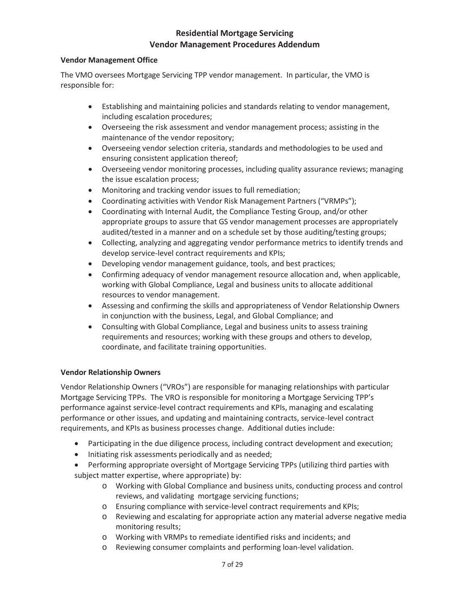#### **Vendor Management Office**

The VMO oversees Mortgage Servicing TPP vendor management. In particular, the VMO is responsible for:

- Establishing and maintaining policies and standards relating to vendor management, including escalation procedures;
- Overseeing the risk assessment and vendor management process; assisting in the maintenance of the vendor repository;
- Overseeing vendor selection criteria, standards and methodologies to be used and ensuring consistent application thereof;
- Overseeing vendor monitoring processes, including quality assurance reviews; managing the issue escalation process;
- Monitoring and tracking vendor issues to full remediation;
- Coordinating activities with Vendor Risk Management Partners ("VRMPs");
- Coordinating with Internal Audit, the Compliance Testing Group, and/or other appropriate groups to assure that GS vendor management processes are appropriately audited/tested in a manner and on a schedule set by those auditing/testing groups;
- Collecting, analyzing and aggregating vendor performance metrics to identify trends and develop service-level contract requirements and KPIs;
- Developing vendor management guidance, tools, and best practices;
- Confirming adequacy of vendor management resource allocation and, when applicable, working with Global Compliance, Legal and business units to allocate additional resources to vendor management.
- Assessing and confirming the skills and appropriateness of Vendor Relationship Owners in conjunction with the business, Legal, and Global Compliance; and
- Consulting with Global Compliance, Legal and business units to assess training requirements and resources; working with these groups and others to develop, coordinate, and facilitate training opportunities.

#### **Vendor Relationship Owners**

Vendor Relationship Owners ("VROs") are responsible for managing relationships with particular Mortgage Servicing TPPs. The VRO is responsible for monitoring a Mortgage Servicing TPP's performance against service-level contract requirements and KPIs, managing and escalating performance or other issues, and updating and maintaining contracts, service-level contract requirements, and KPIs as business processes change. Additional duties include:

- Participating in the due diligence process, including contract development and execution;
- Initiating risk assessments periodically and as needed;
- Performing appropriate oversight of Mortgage Servicing TPPs (utilizing third parties with subject matter expertise, where appropriate) by:
	- o Working with Global Compliance and business units, conducting process and control reviews, and validating mortgage servicing functions;
	- o Ensuring compliance with service-level contract requirements and KPIs;
	- o Reviewing and escalating for appropriate action any material adverse negative media monitoring results;
	- o Working with VRMPs to remediate identified risks and incidents; and
	- o Reviewing consumer complaints and performing loan-level validation.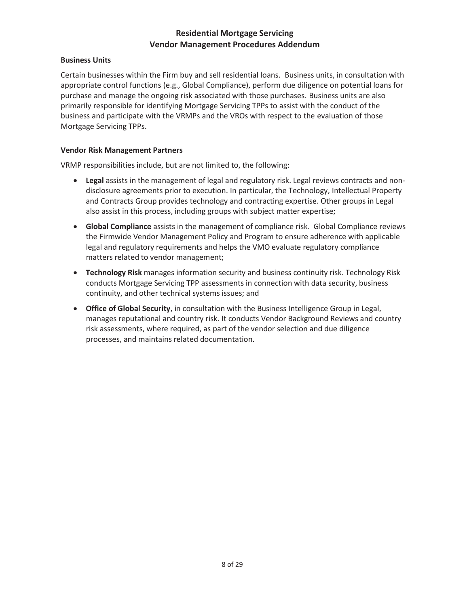#### **Business Units**

Certain businesses within the Firm buy and sell residential loans. Business units, in consultation with appropriate control functions (e.g., Global Compliance), perform due diligence on potential loans for purchase and manage the ongoing risk associated with those purchases. Business units are also primarily responsible for identifying Mortgage Servicing TPPs to assist with the conduct of the business and participate with the VRMPs and the VROs with respect to the evaluation of those Mortgage Servicing TPPs.

#### **Vendor Risk Management Partners**

VRMP responsibilities include, but are not limited to, the following:

- **•** Legal assists in the management of legal and regulatory risk. Legal reviews contracts and nondisclosure agreements prior to execution. In particular, the Technology, Intellectual Property and Contracts Group provides technology and contracting expertise. Other groups in Legal also assist in this process, including groups with subject matter expertise;
- **Global Compliance** assists in the management of compliance risk. Global Compliance reviews the Firmwide Vendor Management Policy and Program to ensure adherence with applicable legal and regulatory requirements and helps the VMO evaluate regulatory compliance matters related to vendor management;
- **Technology Risk** manages information security and business continuity risk. Technology Risk conducts Mortgage Servicing TPP assessments in connection with data security, business continuity, and other technical systems issues; and
- **Office of Global Security**, in consultation with the Business Intelligence Group in Legal, manages reputational and country risk. It conducts Vendor Background Reviews and country risk assessments, where required, as part of the vendor selection and due diligence processes, and maintains related documentation.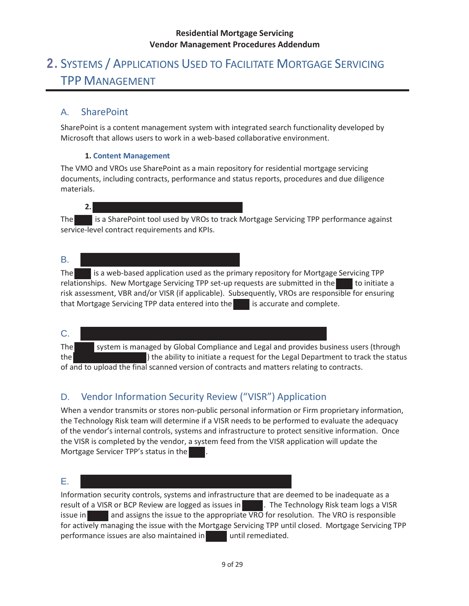# 2. SYSTEMS / APPLICATIONS USED TO FACILITATE MORTGAGE SERVICING TPP MANAGEMENT

# A. SharePoint

SharePoint is a content management system with integrated search functionality developed by Microsoft that allows users to work in a web-based collaborative environment.

#### **1. Content Management**

The VMO and VROs use SharePoint as a main repository for residential mortgage servicing documents, including contracts, performance and status reports, procedures and due diligence materials.

## **2.**  The is a SharePoint tool used by VROs to track Mortgage Servicing TPP performance against

service-level contract requirements and KPIs.

#### B.

The is a web-based application used as the primary repository for Mortgage Servicing TPP relationships. New Mortgage Servicing TPP set-up requests are submitted in the to initiate a risk assessment, VBR and/or VISR (if applicable). Subsequently, VROs are responsible for ensuring that Mortgage Servicing TPP data entered into the is accurate and complete.

# C.

The system is managed by Global Compliance and Legal and provides business users (through the ) the ability to initiate a request for the Legal Department to track the status of and to upload the final scanned version of contracts and matters relating to contracts.

# D. Vendor Information Security Review ("VISR") Application

When a vendor transmits or stores non-public personal information or Firm proprietary information, the Technology Risk team will determine if a VISR needs to be performed to evaluate the adequacy of the vendor's internal controls, systems and infrastructure to protect sensitive information. Once the VISR is completed by the vendor, a system feed from the VISR application will update the Mortgage Servicer TPP's status in the .

#### E.

Information security controls, systems and infrastructure that are deemed to be inadequate as a result of a VISR or BCP Review are logged as issues in **The Technology Risk team logs a VISR** issue in and assigns the issue to the appropriate VRO for resolution. The VRO is responsible for actively managing the issue with the Mortgage Servicing TPP until closed. Mortgage Servicing TPP performance issues are also maintained in until remediated.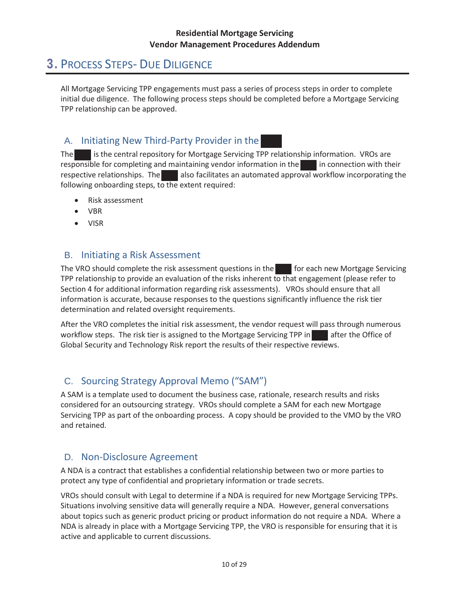# 3. PROCESS STEPS- DUE DILIGENCE

All Mortgage Servicing TPP engagements must pass a series of process steps in order to complete initial due diligence. The following process steps should be completed before a Mortgage Servicing TPP relationship can be approved.

# A. Initiating New Third-Party Provider in the

The is the central repository for Mortgage Servicing TPP relationship information. VROs are responsible for completing and maintaining vendor information in the inconnection with their respective relationships. The also facilitates an automated approval workflow incorporating the following onboarding steps, to the extent required:

- Risk assessment
- $\bullet$  VBR
- VISR

# B. Initiating a Risk Assessment

The VRO should complete the risk assessment questions in the foreach new Mortgage Servicing TPP relationship to provide an evaluation of the risks inherent to that engagement (please refer to Section 4 for additional information regarding risk assessments). VROs should ensure that all information is accurate, because responses to the questions significantly influence the risk tier determination and related oversight requirements.

After the VRO completes the initial risk assessment, the vendor request will pass through numerous workflow steps. The risk tier is assigned to the Mortgage Servicing TPP in after the Office of Global Security and Technology Risk report the results of their respective reviews.

# C. Sourcing Strategy Approval Memo ("SAM")

A SAM is a template used to document the business case, rationale, research results and risks considered for an outsourcing strategy. VROs should complete a SAM for each new Mortgage Servicing TPP as part of the onboarding process. A copy should be provided to the VMO by the VRO and retained.

## D. Non-Disclosure Agreement

A NDA is a contract that establishes a confidential relationship between two or more parties to protect any type of confidential and proprietary information or trade secrets.

VROs should consult with Legal to determine if a NDA is required for new Mortgage Servicing TPPs. Situations involving sensitive data will generally require a NDA. However, general conversations about topics such as generic product pricing or product information do not require a NDA. Where a NDA is already in place with a Mortgage Servicing TPP, the VRO is responsible for ensuring that it is active and applicable to current discussions.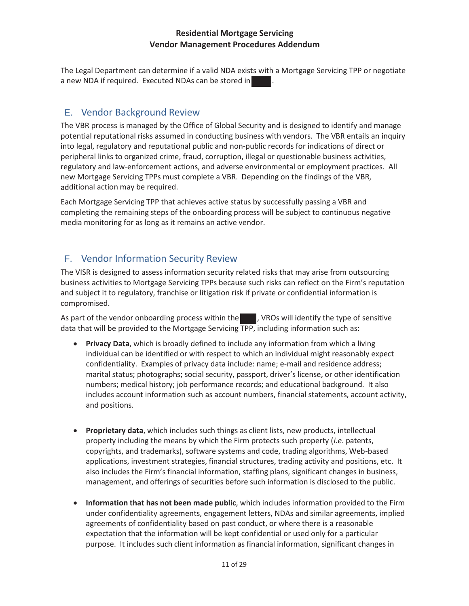The Legal Department can determine if a valid NDA exists with a Mortgage Servicing TPP or negotiate a new NDA if required. Executed NDAs can be stored in

## E. Vendor Background Review

The VBR process is managed by the Office of Global Security and is designed to identify and manage potential reputational risks assumed in conducting business with vendors. The VBR entails an inquiry into legal, regulatory and reputational public and non-public records for indications of direct or peripheral links to organized crime, fraud, corruption, illegal or questionable business activities, regulatory and law-enforcement actions, and adverse environmental or employment practices. All new Mortgage Servicing TPPs must complete a VBR. Depending on the findings of the VBR, additional action may be required.

Each Mortgage Servicing TPP that achieves active status by successfully passing a VBR and completing the remaining steps of the onboarding process will be subject to continuous negative media monitoring for as long as it remains an active vendor.

# F. Vendor Information Security Review

The VISR is designed to assess information security related risks that may arise from outsourcing business activities to Mortgage Servicing TPPs because such risks can reflect on the Firm's reputation and subject it to regulatory, franchise or litigation risk if private or confidential information is compromised.

As part of the vendor onboarding process within the **the U.** VROs will identify the type of sensitive data that will be provided to the Mortgage Servicing TPP, including information such as:

- **Privacy Data**, which is broadly defined to include any information from which a living individual can be identified or with respect to which an individual might reasonably expect confidentiality. Examples of privacy data include: name; e-mail and residence address; marital status; photographs; social security, passport, driver's license, or other identification numbers; medical history; job performance records; and educational background. It also includes account information such as account numbers, financial statements, account activity, and positions.
- **Proprietary data**, which includes such things as client lists, new products, intellectual property including the means by which the Firm protects such property (*i.e*. patents, copyrights, and trademarks), software systems and code, trading algorithms, Web-based applications, investment strategies, financial structures, trading activity and positions, etc. It also includes the Firm's financial information, staffing plans, significant changes in business, management, and offerings of securities before such information is disclosed to the public.
- x **Information that has not been made public**, which includes information provided to the Firm under confidentiality agreements, engagement letters, NDAs and similar agreements, implied agreements of confidentiality based on past conduct, or where there is a reasonable expectation that the information will be kept confidential or used only for a particular purpose. It includes such client information as financial information, significant changes in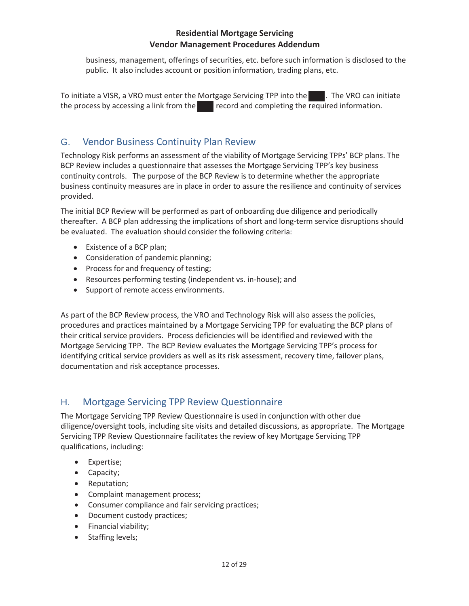business, management, offerings of securities, etc. before such information is disclosed to the public. It also includes account or position information, trading plans, etc.

To initiate a VISR, a VRO must enter the Mortgage Servicing TPP into the . The VRO can initiate the process by accessing a link from the record and completing the required information.

# G. Vendor Business Continuity Plan Review

Technology Risk performs an assessment of the viability of Mortgage Servicing TPPs' BCP plans. The BCP Review includes a questionnaire that assesses the Mortgage Servicing TPP's key business continuity controls. The purpose of the BCP Review is to determine whether the appropriate business continuity measures are in place in order to assure the resilience and continuity of services provided.

The initial BCP Review will be performed as part of onboarding due diligence and periodically thereafter. A BCP plan addressing the implications of short and long-term service disruptions should be evaluated. The evaluation should consider the following criteria:

- Existence of a BCP plan;
- Consideration of pandemic planning;
- Process for and frequency of testing;
- Resources performing testing (independent vs. in-house); and
- Support of remote access environments.

As part of the BCP Review process, the VRO and Technology Risk will also assess the policies, procedures and practices maintained by a Mortgage Servicing TPP for evaluating the BCP plans of their critical service providers. Process deficiencies will be identified and reviewed with the Mortgage Servicing TPP. The BCP Review evaluates the Mortgage Servicing TPP's process for identifying critical service providers as well as its risk assessment, recovery time, failover plans, documentation and risk acceptance processes.

## H. Mortgage Servicing TPP Review Questionnaire

The Mortgage Servicing TPP Review Questionnaire is used in conjunction with other due diligence/oversight tools, including site visits and detailed discussions, as appropriate. The Mortgage Servicing TPP Review Questionnaire facilitates the review of key Mortgage Servicing TPP qualifications, including:

- Expertise;
- $\bullet$  Capacity;
- Reputation;
- Complaint management process;
- Consumer compliance and fair servicing practices;
- Document custody practices;
- Financial viability;
- Staffing levels;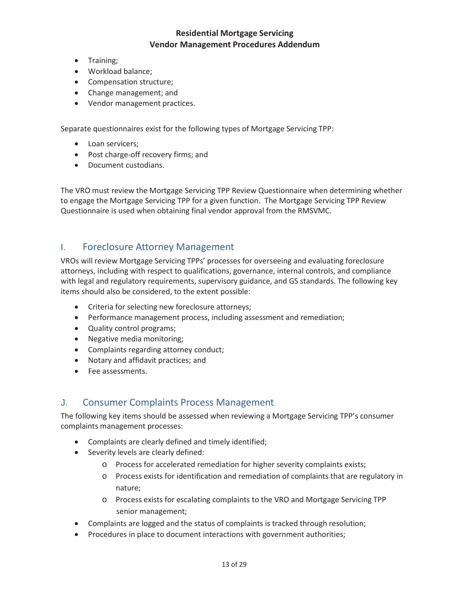- Training:
- Workload balance;
- Compensation structure;
- Change management; and
- Vendor management practices.

Separate questionnaires exist for the following types of Mortgage Servicing TPP:

- Loan servicers;
- Post charge-off recovery firms; and
- Document custodians.

The VRO must review the Mortgage Servicing TPP Review Questionnaire when determining whether to engage the Mortgage Servicing TPP for a given function. The Mortgage Servicing TPP Review Questionnaire is used when obtaining final vendor approval from the RMSVMC.

### I. Foreclosure Attorney Management

VROs will review Mortgage Servicing TPPs' processes for overseeing and evaluating foreclosure attorneys, including with respect to qualifications, governance, internal controls, and compliance with legal and regulatory requirements, supervisory guidance, and GS standards. The following key items should also be considered, to the extent possible:

- Criteria for selecting new foreclosure attorneys;
- Performance management process, including assessment and remediation;
- Quality control programs;
- Negative media monitoring;
- Complaints regarding attorney conduct;
- Notary and affidavit practices; and
- Fee assessments.

#### J. Consumer Complaints Process Management

The following key items should be assessed when reviewing a Mortgage Servicing TPP's consumer complaints management processes:

- Complaints are clearly defined and timely identified;
- Severity levels are clearly defined:
	- o Process for accelerated remediation for higher severity complaints exists;
	- o Process exists for identification and remediation of complaints that are regulatory in nature;
	- o Process exists for escalating complaints to the VRO and Mortgage Servicing TPP senior management;
- Complaints are logged and the status of complaints is tracked through resolution;
- Procedures in place to document interactions with government authorities;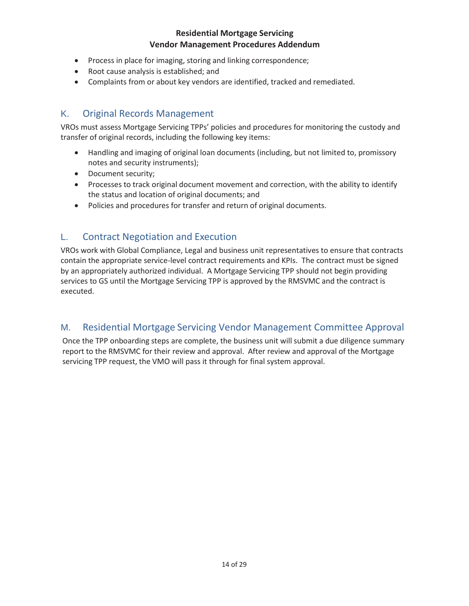- Process in place for imaging, storing and linking correspondence;
- Root cause analysis is established; and
- Complaints from or about key vendors are identified, tracked and remediated.

### K. Original Records Management

VROs must assess Mortgage Servicing TPPs' policies and procedures for monitoring the custody and transfer of original records, including the following key items:

- Handling and imaging of original loan documents (including, but not limited to, promissory notes and security instruments);
- Document security;
- Processes to track original document movement and correction, with the ability to identify the status and location of original documents; and
- Policies and procedures for transfer and return of original documents.

## L. Contract Negotiation and Execution

VROs work with Global Compliance, Legal and business unit representatives to ensure that contracts contain the appropriate service-level contract requirements and KPIs. The contract must be signed by an appropriately authorized individual. A Mortgage Servicing TPP should not begin providing services to GS until the Mortgage Servicing TPP is approved by the RMSVMC and the contract is executed.

## M. Residential Mortgage Servicing Vendor Management Committee Approval

Once the TPP onboarding steps are complete, the business unit will submit a due diligence summary report to the RMSVMC for their review and approval. After review and approval of the Mortgage servicing TPP request, the VMO will pass it through for final system approval.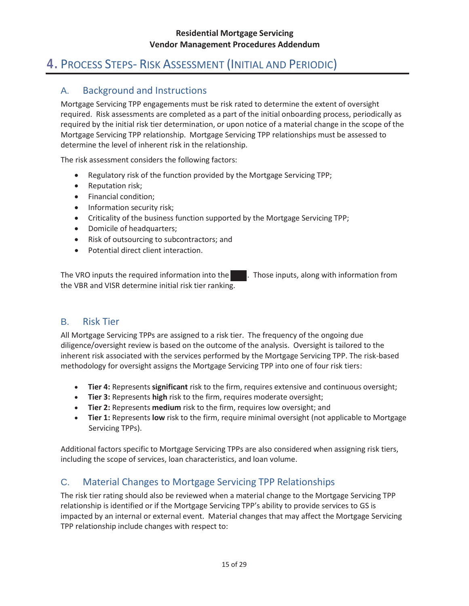# 4. PROCESS STEPS- RISK ASSESSMENT (INITIAL AND PERIODIC)

# A. Background and Instructions

Mortgage Servicing TPP engagements must be risk rated to determine the extent of oversight required. Risk assessments are completed as a part of the initial onboarding process, periodically as required by the initial risk tier determination, or upon notice of a material change in the scope of the Mortgage Servicing TPP relationship. Mortgage Servicing TPP relationships must be assessed to determine the level of inherent risk in the relationship.

The risk assessment considers the following factors:

- Regulatory risk of the function provided by the Mortgage Servicing TPP;
- Reputation risk;
- Financial condition:
- Information security risk:
- Criticality of the business function supported by the Mortgage Servicing TPP;
- Domicile of headquarters;
- Risk of outsourcing to subcontractors; and
- Potential direct client interaction.

The VRO inputs the required information into the **....** Those inputs, along with information from the VBR and VISR determine initial risk tier ranking.

## B. Risk Tier

All Mortgage Servicing TPPs are assigned to a risk tier. The frequency of the ongoing due diligence/oversight review is based on the outcome of the analysis. Oversight is tailored to the inherent risk associated with the services performed by the Mortgage Servicing TPP. The risk-based methodology for oversight assigns the Mortgage Servicing TPP into one of four risk tiers:

- x **Tier 4:** Represents **significant** risk to the firm, requires extensive and continuous oversight;
- **Tier 3:** Represents **high** risk to the firm, requires moderate oversight;
- **Tier 2:** Represents **medium** risk to the firm, requires low oversight; and
- x **Tier 1:** Represents **low** risk to the firm, require minimal oversight (not applicable to Mortgage Servicing TPPs).

Additional factors specific to Mortgage Servicing TPPs are also considered when assigning risk tiers, including the scope of services, loan characteristics, and loan volume.

# C. Material Changes to Mortgage Servicing TPP Relationships

The risk tier rating should also be reviewed when a material change to the Mortgage Servicing TPP relationship is identified or if the Mortgage Servicing TPP's ability to provide services to GS is impacted by an internal or external event. Material changes that may affect the Mortgage Servicing TPP relationship include changes with respect to: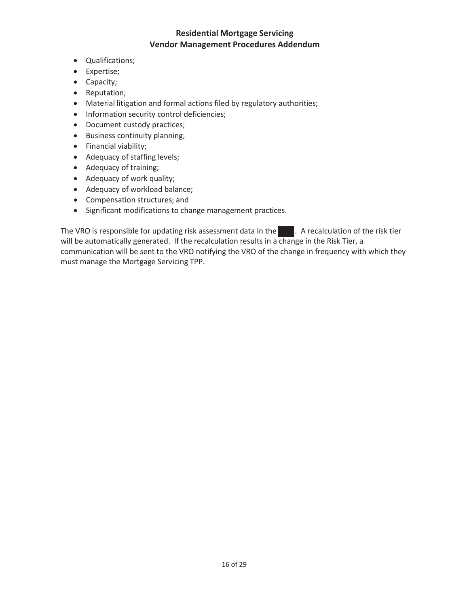- Qualifications;
- Expertise;
- Capacity;
- Reputation;
- Material litigation and formal actions filed by regulatory authorities;
- Information security control deficiencies;
- Document custody practices;
- Business continuity planning;
- Financial viability;
- Adequacy of staffing levels;
- Adequacy of training;
- Adequacy of work quality;
- Adequacy of workload balance;
- Compensation structures; and
- Significant modifications to change management practices.

The VRO is responsible for updating risk assessment data in the **....** A recalculation of the risk tier will be automatically generated. If the recalculation results in a change in the Risk Tier, a communication will be sent to the VRO notifying the VRO of the change in frequency with which they must manage the Mortgage Servicing TPP.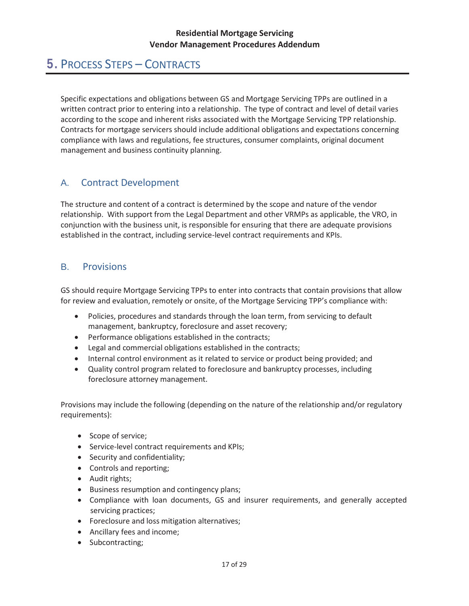# 5. PROCESS STEPS – CONTRACTS

Specific expectations and obligations between GS and Mortgage Servicing TPPs are outlined in a written contract prior to entering into a relationship. The type of contract and level of detail varies according to the scope and inherent risks associated with the Mortgage Servicing TPP relationship. Contracts for mortgage servicers should include additional obligations and expectations concerning compliance with laws and regulations, fee structures, consumer complaints, original document management and business continuity planning.

# A. Contract Development

The structure and content of a contract is determined by the scope and nature of the vendor relationship. With support from the Legal Department and other VRMPs as applicable, the VRO, in conjunction with the business unit, is responsible for ensuring that there are adequate provisions established in the contract, including service-level contract requirements and KPIs.

## B. Provisions

GS should require Mortgage Servicing TPPs to enter into contracts that contain provisions that allow for review and evaluation, remotely or onsite, of the Mortgage Servicing TPP's compliance with:

- Policies, procedures and standards through the loan term, from servicing to default management, bankruptcy, foreclosure and asset recovery;
- Performance obligations established in the contracts;
- Legal and commercial obligations established in the contracts;
- Internal control environment as it related to service or product being provided; and
- Quality control program related to foreclosure and bankruptcy processes, including foreclosure attorney management.

Provisions may include the following (depending on the nature of the relationship and/or regulatory requirements):

- Scope of service;
- Service-level contract requirements and KPIs;
- Security and confidentiality;
- Controls and reporting;
- Audit rights;
- Business resumption and contingency plans;
- Compliance with loan documents, GS and insurer requirements, and generally accepted servicing practices;
- Foreclosure and loss mitigation alternatives;
- Ancillary fees and income;
- Subcontracting;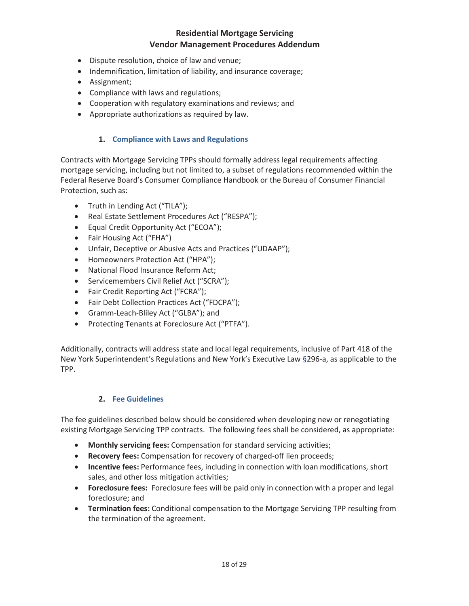- Dispute resolution, choice of law and venue;
- Indemnification, limitation of liability, and insurance coverage;
- Assignment;
- Compliance with laws and regulations;
- Cooperation with regulatory examinations and reviews; and
- Appropriate authorizations as required by law.

#### **1. Compliance with Laws and Regulations**

Contracts with Mortgage Servicing TPPs should formally address legal requirements affecting mortgage servicing, including but not limited to, a subset of regulations recommended within the Federal Reserve Board's Consumer Compliance Handbook or the Bureau of Consumer Financial Protection, such as:

- Truth in Lending Act ("TILA");
- Real Estate Settlement Procedures Act ("RESPA");
- Equal Credit Opportunity Act ("ECOA");
- Fair Housing Act ("FHA")
- Unfair, Deceptive or Abusive Acts and Practices ("UDAAP");
- Homeowners Protection Act ("HPA");
- National Flood Insurance Reform Act;
- Servicemembers Civil Relief Act ("SCRA");
- Fair Credit Reporting Act ("FCRA");
- Fair Debt Collection Practices Act ("FDCPA");
- Gramm-Leach-Bliley Act ("GLBA"); and
- Protecting Tenants at Foreclosure Act ("PTFA").

Additionally, contracts will address state and local legal requirements, inclusive of Part 418 of the New York Superintendent's Regulations and New York's Executive Law §296-a, as applicable to the TPP.

#### **2. Fee Guidelines**

The fee guidelines described below should be considered when developing new or renegotiating existing Mortgage Servicing TPP contracts. The following fees shall be considered, as appropriate:

- **Monthly servicing fees:** Compensation for standard servicing activities;
- **Recovery fees:** Compensation for recovery of charged-off lien proceeds;
- **Incentive fees:** Performance fees, including in connection with loan modifications, short sales, and other loss mitigation activities;
- **Foreclosure fees:** Foreclosure fees will be paid only in connection with a proper and legal foreclosure; and
- **Termination fees:** Conditional compensation to the Mortgage Servicing TPP resulting from the termination of the agreement.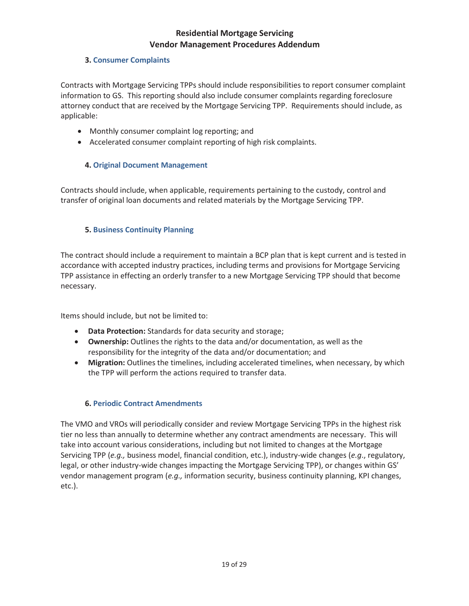#### **3. Consumer Complaints**

Contracts with Mortgage Servicing TPPs should include responsibilities to report consumer complaint information to GS. This reporting should also include consumer complaints regarding foreclosure attorney conduct that are received by the Mortgage Servicing TPP. Requirements should include, as applicable:

- Monthly consumer complaint log reporting; and
- Accelerated consumer complaint reporting of high risk complaints.

#### **4. Original Document Management**

Contracts should include, when applicable, requirements pertaining to the custody, control and transfer of original loan documents and related materials by the Mortgage Servicing TPP.

#### **5. Business Continuity Planning**

The contract should include a requirement to maintain a BCP plan that is kept current and is tested in accordance with accepted industry practices, including terms and provisions for Mortgage Servicing TPP assistance in effecting an orderly transfer to a new Mortgage Servicing TPP should that become necessary.

Items should include, but not be limited to:

- **Data Protection:** Standards for data security and storage;
- **Ownership:** Outlines the rights to the data and/or documentation, as well as the responsibility for the integrity of the data and/or documentation; and
- **•** Migration: Outlines the timelines, including accelerated timelines, when necessary, by which the TPP will perform the actions required to transfer data.

#### **6. Periodic Contract Amendments**

The VMO and VROs will periodically consider and review Mortgage Servicing TPPs in the highest risk tier no less than annually to determine whether any contract amendments are necessary. This will take into account various considerations, including but not limited to changes at the Mortgage Servicing TPP (*e.g.,* business model, financial condition, etc.), industry-wide changes (*e.g*., regulatory, legal, or other industry-wide changes impacting the Mortgage Servicing TPP), or changes within GS' vendor management program (*e.g.,* information security, business continuity planning, KPI changes, etc.).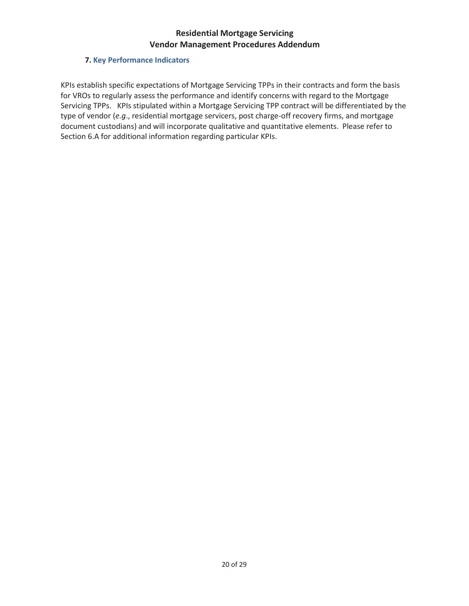#### **7. Key Performance Indicators**

KPIs establish specific expectations of Mortgage Servicing TPPs in their contracts and form the basis for VROs to regularly assess the performance and identify concerns with regard to the Mortgage Servicing TPPs. KPIs stipulated within a Mortgage Servicing TPP contract will be differentiated by the type of vendor (*e.g*., residential mortgage servicers, post charge-off recovery firms, and mortgage document custodians) and will incorporate qualitative and quantitative elements. Please refer to Section 6.A for additional information regarding particular KPIs.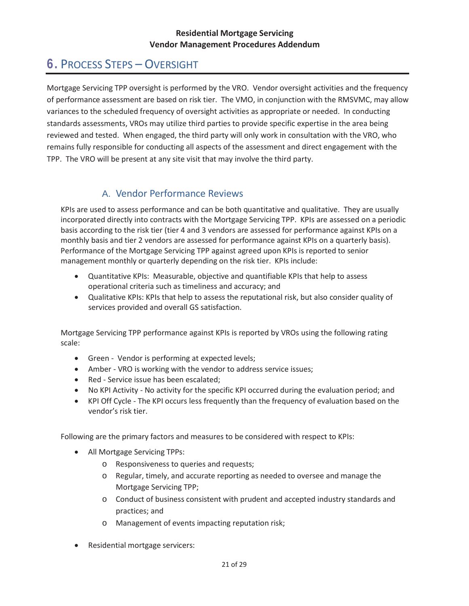# 6. PROCESS STEPS – OVERSIGHT

Mortgage Servicing TPP oversight is performed by the VRO. Vendor oversight activities and the frequency of performance assessment are based on risk tier. The VMO, in conjunction with the RMSVMC, may allow variances to the scheduled frequency of oversight activities as appropriate or needed. In conducting standards assessments, VROs may utilize third parties to provide specific expertise in the area being reviewed and tested. When engaged, the third party will only work in consultation with the VRO, who remains fully responsible for conducting all aspects of the assessment and direct engagement with the TPP. The VRO will be present at any site visit that may involve the third party.

# A. Vendor Performance Reviews

KPIs are used to assess performance and can be both quantitative and qualitative. They are usually incorporated directly into contracts with the Mortgage Servicing TPP. KPIs are assessed on a periodic basis according to the risk tier (tier 4 and 3 vendors are assessed for performance against KPIs on a monthly basis and tier 2 vendors are assessed for performance against KPIs on a quarterly basis). Performance of the Mortgage Servicing TPP against agreed upon KPIs is reported to senior management monthly or quarterly depending on the risk tier. KPIs include:

- x Quantitative KPIs: Measurable, objective and quantifiable KPIs that help to assess operational criteria such as timeliness and accuracy; and
- Qualitative KPIs: KPIs that help to assess the reputational risk, but also consider quality of services provided and overall GS satisfaction.

Mortgage Servicing TPP performance against KPIs is reported by VROs using the following rating scale:

- Green Vendor is performing at expected levels;
- Amber VRO is working with the vendor to address service issues;
- Red Service issue has been escalated;
- No KPI Activity No activity for the specific KPI occurred during the evaluation period; and
- KPI Off Cycle The KPI occurs less frequently than the frequency of evaluation based on the vendor's risk tier.

Following are the primary factors and measures to be considered with respect to KPIs:

- All Mortgage Servicing TPPs:
	- o Responsiveness to queries and requests;
	- o Regular, timely, and accurate reporting as needed to oversee and manage the Mortgage Servicing TPP;
	- o Conduct of business consistent with prudent and accepted industry standards and practices; and
	- o Management of events impacting reputation risk;
- Residential mortgage servicers: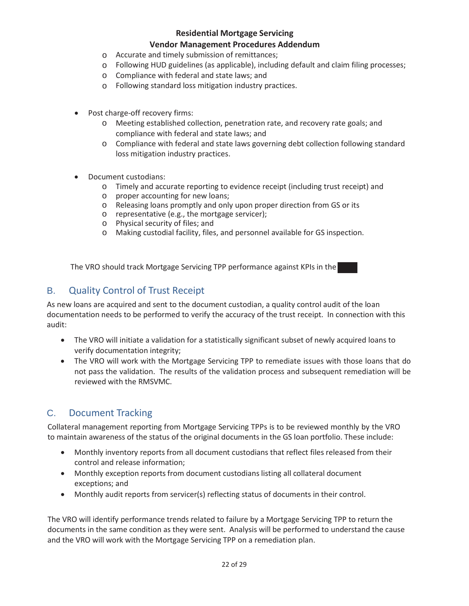#### **Residential Mortgage Servicing**

#### **Vendor Management Procedures Addendum**

- o Accurate and timely submission of remittances;
- o Following HUD guidelines (as applicable), including default and claim filing processes;
- o Compliance with federal and state laws; and
- o Following standard loss mitigation industry practices.
- Post charge-off recovery firms:
	- o Meeting established collection, penetration rate, and recovery rate goals; and compliance with federal and state laws; and
	- o Compliance with federal and state laws governing debt collection following standard loss mitigation industry practices.
- Document custodians:
	- o Timely and accurate reporting to evidence receipt (including trust receipt) and
	- o proper accounting for new loans;
	- o Releasing loans promptly and only upon proper direction from GS or its
	- o representative (e.g., the mortgage servicer);
	- o Physical security of files; and
	- o Making custodial facility, files, and personnel available for GS inspection.

The VRO should track Mortgage Servicing TPP performance against KPIs in the

## B. Quality Control of Trust Receipt

As new loans are acquired and sent to the document custodian, a quality control audit of the loan documentation needs to be performed to verify the accuracy of the trust receipt. In connection with this audit:

- The VRO will initiate a validation for a statistically significant subset of newly acquired loans to verify documentation integrity;
- The VRO will work with the Mortgage Servicing TPP to remediate issues with those loans that do not pass the validation. The results of the validation process and subsequent remediation will be reviewed with the RMSVMC.

# C. Document Tracking

Collateral management reporting from Mortgage Servicing TPPs is to be reviewed monthly by the VRO to maintain awareness of the status of the original documents in the GS loan portfolio. These include:

- Monthly inventory reports from all document custodians that reflect files released from their control and release information;
- Monthly exception reports from document custodians listing all collateral document exceptions; and
- Monthly audit reports from servicer(s) reflecting status of documents in their control.

The VRO will identify performance trends related to failure by a Mortgage Servicing TPP to return the documents in the same condition as they were sent. Analysis will be performed to understand the cause and the VRO will work with the Mortgage Servicing TPP on a remediation plan.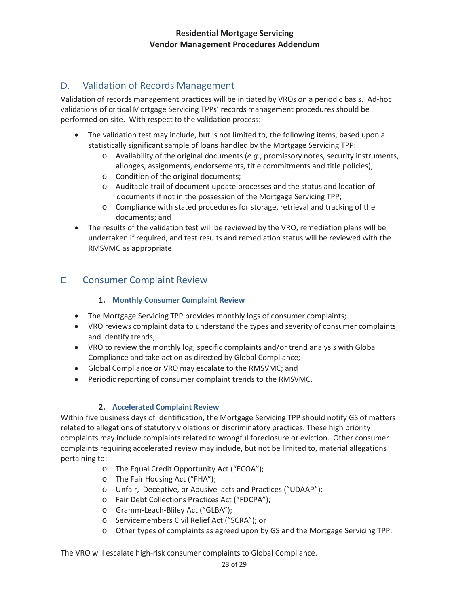# D. Validation of Records Management

Validation of records management practices will be initiated by VROs on a periodic basis. Ad-hoc validations of critical Mortgage Servicing TPPs' records management procedures should be performed on-site. With respect to the validation process:

- The validation test may include, but is not limited to, the following items, based upon a statistically significant sample of loans handled by the Mortgage Servicing TPP:
	- o Availability of the original documents (*e.g*., promissory notes, security instruments, allonges, assignments, endorsements, title commitments and title policies);
	- o Condition of the original documents;
	- o Auditable trail of document update processes and the status and location of documents if not in the possession of the Mortgage Servicing TPP;
	- o Compliance with stated procedures for storage, retrieval and tracking of the documents; and
- The results of the validation test will be reviewed by the VRO, remediation plans will be undertaken if required, and test results and remediation status will be reviewed with the RMSVMC as appropriate.

# E. Consumer Complaint Review

#### **1. Monthly Consumer Complaint Review**

- The Mortgage Servicing TPP provides monthly logs of consumer complaints;
- VRO reviews complaint data to understand the types and severity of consumer complaints and identify trends;
- VRO to review the monthly log, specific complaints and/or trend analysis with Global Compliance and take action as directed by Global Compliance;
- Global Compliance or VRO may escalate to the RMSVMC; and
- Periodic reporting of consumer complaint trends to the RMSVMC.

#### **2. Accelerated Complaint Review**

Within five business days of identification, the Mortgage Servicing TPP should notify GS of matters related to allegations of statutory violations or discriminatory practices. These high priority complaints may include complaints related to wrongful foreclosure or eviction. Other consumer complaints requiring accelerated review may include, but not be limited to, material allegations pertaining to:

- o The Equal Credit Opportunity Act ("ECOA");
- o The Fair Housing Act ("FHA");
- o Unfair, Deceptive, or Abusive acts and Practices ("UDAAP");
- o Fair Debt Collections Practices Act ("FDCPA");
- o Gramm-Leach-Bliley Act ("GLBA");
- o Servicemembers Civil Relief Act ("SCRA"); or
- o Other types of complaints as agreed upon by GS and the Mortgage Servicing TPP.

The VRO will escalate high-risk consumer complaints to Global Compliance.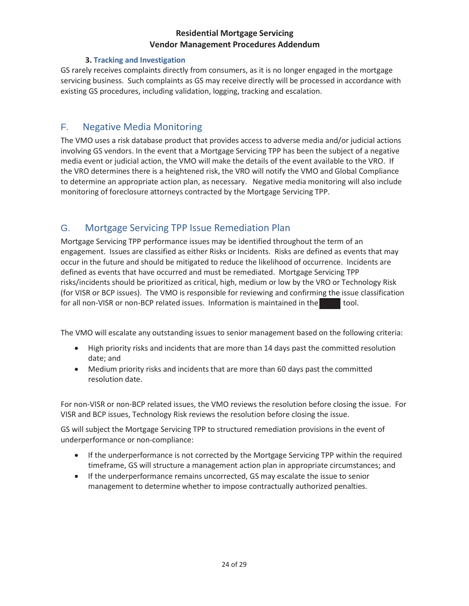#### **3. Tracking and Investigation**

GS rarely receives complaints directly from consumers, as it is no longer engaged in the mortgage servicing business. Such complaints as GS may receive directly will be processed in accordance with existing GS procedures, including validation, logging, tracking and escalation.

### F. Negative Media Monitoring

The VMO uses a risk database product that provides access to adverse media and/or judicial actions involving GS vendors. In the event that a Mortgage Servicing TPP has been the subject of a negative media event or judicial action, the VMO will make the details of the event available to the VRO. If the VRO determines there is a heightened risk, the VRO will notify the VMO and Global Compliance to determine an appropriate action plan, as necessary. Negative media monitoring will also include monitoring of foreclosure attorneys contracted by the Mortgage Servicing TPP.

# G. Mortgage Servicing TPP Issue Remediation Plan

Mortgage Servicing TPP performance issues may be identified throughout the term of an engagement. Issues are classified as either Risks or Incidents. Risks are defined as events that may occur in the future and should be mitigated to reduce the likelihood of occurrence. Incidents are defined as events that have occurred and must be remediated. Mortgage Servicing TPP risks/incidents should be prioritized as critical, high, medium or low by the VRO or Technology Risk (for VISR or BCP issues). The VMO is responsible for reviewing and confirming the issue classification for all non-VISR or non-BCP related issues. Information is maintained in the tool.

The VMO will escalate any outstanding issues to senior management based on the following criteria:

- High priority risks and incidents that are more than 14 days past the committed resolution date; and
- x Medium priority risks and incidents that are more than 60 days past the committed resolution date.

For non-VISR or non-BCP related issues, the VMO reviews the resolution before closing the issue. For VISR and BCP issues, Technology Risk reviews the resolution before closing the issue.

GS will subject the Mortgage Servicing TPP to structured remediation provisions in the event of underperformance or non-compliance:

- If the underperformance is not corrected by the Mortgage Servicing TPP within the required timeframe, GS will structure a management action plan in appropriate circumstances; and
- If the underperformance remains uncorrected, GS may escalate the issue to senior management to determine whether to impose contractually authorized penalties.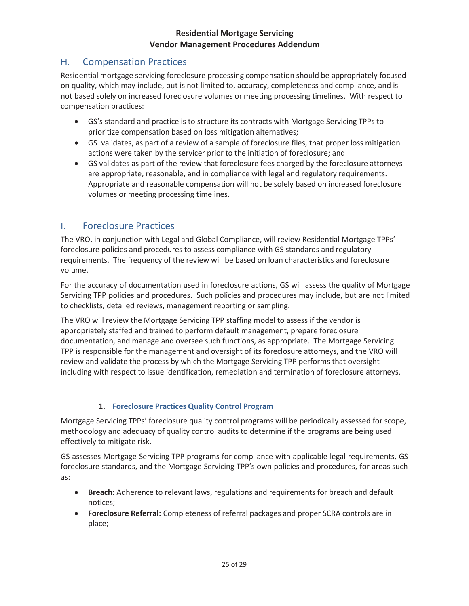# H. Compensation Practices

Residential mortgage servicing foreclosure processing compensation should be appropriately focused on quality, which may include, but is not limited to, accuracy, completeness and compliance, and is not based solely on increased foreclosure volumes or meeting processing timelines. With respect to compensation practices:

- GS's standard and practice is to structure its contracts with Mortgage Servicing TPPs to prioritize compensation based on loss mitigation alternatives;
- GS validates, as part of a review of a sample of foreclosure files, that proper loss mitigation actions were taken by the servicer prior to the initiation of foreclosure; and
- GS validates as part of the review that foreclosure fees charged by the foreclosure attorneys are appropriate, reasonable, and in compliance with legal and regulatory requirements. Appropriate and reasonable compensation will not be solely based on increased foreclosure volumes or meeting processing timelines.

# I. Foreclosure Practices

The VRO, in conjunction with Legal and Global Compliance, will review Residential Mortgage TPPs' foreclosure policies and procedures to assess compliance with GS standards and regulatory requirements. The frequency of the review will be based on loan characteristics and foreclosure volume.

For the accuracy of documentation used in foreclosure actions, GS will assess the quality of Mortgage Servicing TPP policies and procedures. Such policies and procedures may include, but are not limited to checklists, detailed reviews, management reporting or sampling.

The VRO will review the Mortgage Servicing TPP staffing model to assess if the vendor is appropriately staffed and trained to perform default management, prepare foreclosure documentation, and manage and oversee such functions, as appropriate. The Mortgage Servicing TPP is responsible for the management and oversight of its foreclosure attorneys, and the VRO will review and validate the process by which the Mortgage Servicing TPP performs that oversight including with respect to issue identification, remediation and termination of foreclosure attorneys.

#### **1. Foreclosure Practices Quality Control Program**

Mortgage Servicing TPPs' foreclosure quality control programs will be periodically assessed for scope, methodology and adequacy of quality control audits to determine if the programs are being used effectively to mitigate risk.

GS assesses Mortgage Servicing TPP programs for compliance with applicable legal requirements, GS foreclosure standards, and the Mortgage Servicing TPP's own policies and procedures, for areas such as:

- **Breach:** Adherence to relevant laws, regulations and requirements for breach and default notices;
- **Foreclosure Referral:** Completeness of referral packages and proper SCRA controls are in place;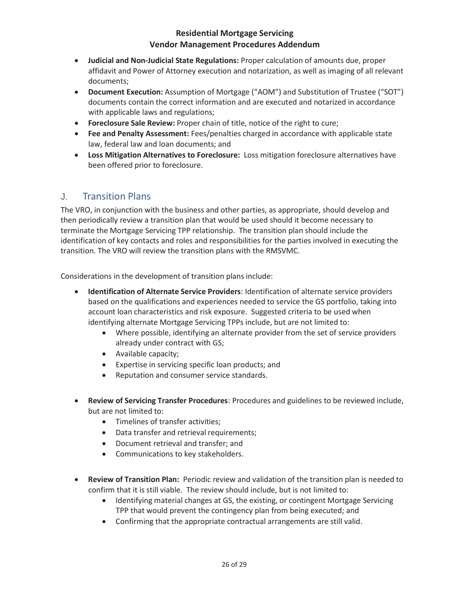- x **Judicial and Non-Judicial State Regulations:** Proper calculation of amounts due, proper affidavit and Power of Attorney execution and notarization, as well as imaging of all relevant documents;
- **Document Execution:** Assumption of Mortgage ("AOM") and Substitution of Trustee ("SOT") documents contain the correct information and are executed and notarized in accordance with applicable laws and regulations;
- **Foreclosure Sale Review:** Proper chain of title, notice of the right to cure;
- x **Fee and Penalty Assessment:** Fees/penalties charged in accordance with applicable state law, federal law and loan documents; and
- **Loss Mitigation Alternatives to Foreclosure:** Loss mitigation foreclosure alternatives have been offered prior to foreclosure.

# J. Transition Plans

The VRO, in conjunction with the business and other parties, as appropriate, should develop and then periodically review a transition plan that would be used should it become necessary to terminate the Mortgage Servicing TPP relationship. The transition plan should include the identification of key contacts and roles and responsibilities for the parties involved in executing the transition. The VRO will review the transition plans with the RMSVMC.

Considerations in the development of transition plans include:

- x **Identification of Alternate Service Providers**: Identification of alternate service providers based on the qualifications and experiences needed to service the GS portfolio, taking into account loan characteristics and risk exposure. Suggested criteria to be used when identifying alternate Mortgage Servicing TPPs include, but are not limited to:
	- Where possible, identifying an alternate provider from the set of service providers already under contract with GS;
	- Available capacity;
	- Expertise in servicing specific loan products; and
	- Reputation and consumer service standards.
- x **Review of Servicing Transfer Procedures**: Procedures and guidelines to be reviewed include, but are not limited to:
	- Timelines of transfer activities;
	- Data transfer and retrieval requirements;
	- Document retrieval and transfer; and
	- Communications to key stakeholders.
- x **Review of Transition Plan:** Periodic review and validation of the transition plan is needed to confirm that it is still viable. The review should include, but is not limited to:
	- Identifying material changes at GS, the existing, or contingent Mortgage Servicing TPP that would prevent the contingency plan from being executed; and
	- Confirming that the appropriate contractual arrangements are still valid.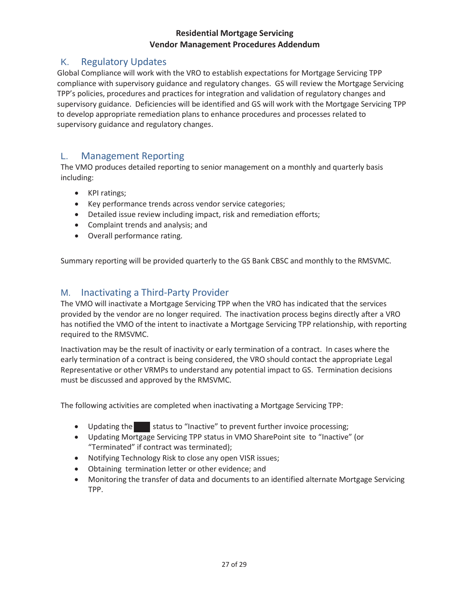# K. Regulatory Updates

Global Compliance will work with the VRO to establish expectations for Mortgage Servicing TPP compliance with supervisory guidance and regulatory changes. GS will review the Mortgage Servicing TPP's policies, procedures and practices for integration and validation of regulatory changes and supervisory guidance. Deficiencies will be identified and GS will work with the Mortgage Servicing TPP to develop appropriate remediation plans to enhance procedures and processes related to supervisory guidance and regulatory changes.

## L. Management Reporting

The VMO produces detailed reporting to senior management on a monthly and quarterly basis including:

- KPI ratings;
- Key performance trends across vendor service categories;
- Detailed issue review including impact, risk and remediation efforts;
- Complaint trends and analysis; and
- Overall performance rating.

Summary reporting will be provided quarterly to the GS Bank CBSC and monthly to the RMSVMC.

## M. Inactivating a Third-Party Provider

The VMO will inactivate a Mortgage Servicing TPP when the VRO has indicated that the services provided by the vendor are no longer required. The inactivation process begins directly after a VRO has notified the VMO of the intent to inactivate a Mortgage Servicing TPP relationship, with reporting required to the RMSVMC.

Inactivation may be the result of inactivity or early termination of a contract. In cases where the early termination of a contract is being considered, the VRO should contact the appropriate Legal Representative or other VRMPs to understand any potential impact to GS. Termination decisions must be discussed and approved by the RMSVMC.

The following activities are completed when inactivating a Mortgage Servicing TPP:

- Updating the status to "Inactive" to prevent further invoice processing;
- x Updating Mortgage Servicing TPP status in VMO SharePoint site to "Inactive" (or "Terminated" if contract was terminated);
- Notifying Technology Risk to close any open VISR issues;
- Obtaining termination letter or other evidence; and
- x Monitoring the transfer of data and documents to an identified alternate Mortgage Servicing TPP.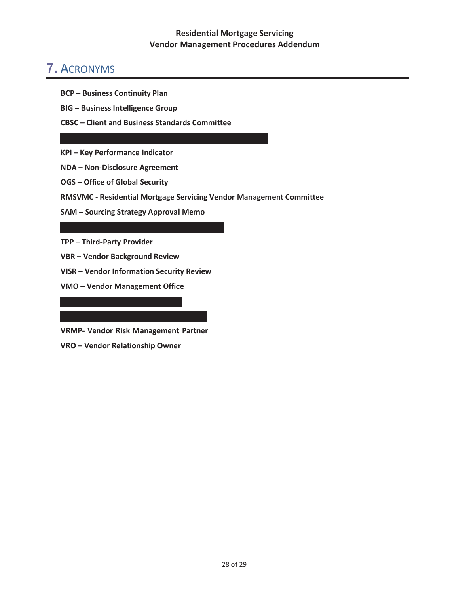# 7. ACRONYMS

- **BCP Business Continuity Plan**
- **BIG Business Intelligence Group**
- **CBSC Client and Business Standards Committee**
- **KPI Key Performance Indicator**
- **NDA Non-Disclosure Agreement**
- **OGS Office of Global Security**
- **RMSVMC Residential Mortgage Servicing Vendor Management Committee**
- **SAM Sourcing Strategy Approval Memo**

**TPP – Third-Party Provider**

- **VBR Vendor Background Review**
- **VISR Vendor Information Security Review**
- **VMO Vendor Management Office**

**VRMP- Vendor Risk Management Partner** 

**VRO – Vendor Relationship Owner**